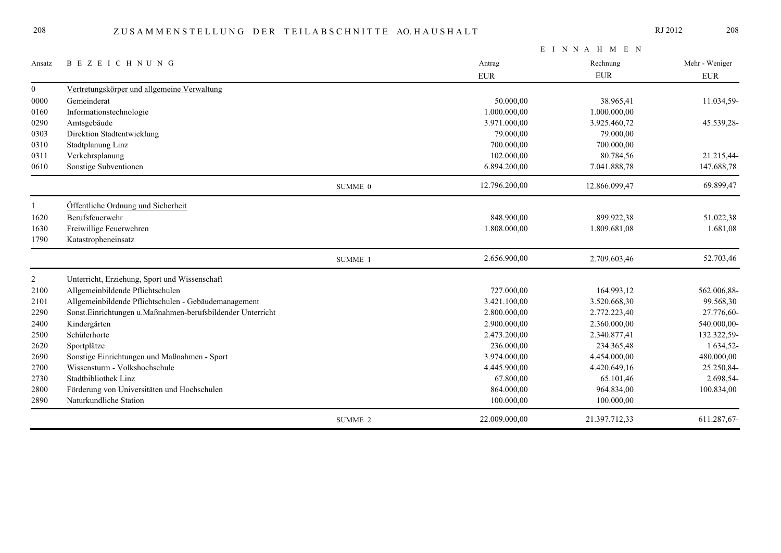|                  |                                                            |         | EINNAHMEN     |               |                |  |
|------------------|------------------------------------------------------------|---------|---------------|---------------|----------------|--|
| Ansatz           | <b>BEZEICHNUNG</b>                                         |         | Antrag        | Rechnung      | Mehr - Weniger |  |
|                  |                                                            |         | <b>EUR</b>    | <b>EUR</b>    | ${\rm EUR}$    |  |
| $\boldsymbol{0}$ | Vertretungskörper und allgemeine Verwaltung                |         |               |               |                |  |
| 0000             | Gemeinderat                                                |         | 50.000,00     | 38.965,41     | 11.034,59-     |  |
| 0160             | Informationstechnologie                                    |         | 1.000.000,00  | 1.000.000,00  |                |  |
| 0290             | Amtsgebäude                                                |         | 3.971.000,00  | 3.925.460,72  | 45.539,28-     |  |
| 0303             | Direktion Stadtentwicklung                                 |         | 79.000,00     | 79.000,00     |                |  |
| 0310             | Stadtplanung Linz                                          |         | 700.000,00    | 700.000,00    |                |  |
| 0311             | Verkehrsplanung                                            |         | 102.000,00    | 80.784,56     | 21.215,44-     |  |
| 0610             | Sonstige Subventionen                                      |         | 6.894.200,00  | 7.041.888,78  | 147.688,78     |  |
|                  |                                                            | SUMME 0 | 12.796.200,00 | 12.866.099,47 | 69.899,47      |  |
|                  | Öffentliche Ordnung und Sicherheit                         |         |               |               |                |  |
| 1620             | Berufsfeuerwehr                                            |         | 848.900,00    | 899.922,38    | 51.022,38      |  |
| 1630             | Freiwillige Feuerwehren                                    |         | 1.808.000,00  | 1.809.681,08  | 1.681,08       |  |
| 1790             | Katastropheneinsatz                                        |         |               |               |                |  |
|                  |                                                            | SUMME 1 | 2.656.900,00  | 2.709.603,46  | 52.703,46      |  |
| $\overline{2}$   | Unterricht, Erziehung, Sport und Wissenschaft              |         |               |               |                |  |
| 2100             | Allgemeinbildende Pflichtschulen                           |         | 727.000,00    | 164.993,12    | 562.006,88-    |  |
| 2101             | Allgemeinbildende Pflichtschulen - Gebäudemanagement       |         | 3.421.100,00  | 3.520.668,30  | 99.568,30      |  |
| 2290             | Sonst.Einrichtungen u.Maßnahmen-berufsbildender Unterricht |         | 2.800.000,00  | 2.772.223,40  | 27.776,60-     |  |
| 2400             | Kindergärten                                               |         | 2.900.000,00  | 2.360.000,00  | 540.000,00-    |  |
| 2500             | Schülerhorte                                               |         | 2.473.200,00  | 2.340.877,41  | 132.322,59-    |  |
| 2620             | Sportplätze                                                |         | 236.000,00    | 234.365,48    | 1.634,52-      |  |
| 2690             | Sonstige Einrichtungen und Maßnahmen - Sport               |         | 3.974.000,00  | 4.454.000,00  | 480.000,00     |  |
| 2700             | Wissensturm - Volkshochschule                              |         | 4.445.900,00  | 4.420.649,16  | 25.250,84-     |  |
| 2730             | Stadtbibliothek Linz                                       |         | 67.800,00     | 65.101,46     | 2.698,54-      |  |
| 2800             | Förderung von Universitäten und Hochschulen                |         | 864.000,00    | 964.834,00    | 100.834,00     |  |
| 2890             | Naturkundliche Station                                     |         | 100.000,00    | 100.000,00    |                |  |
|                  |                                                            | SUMME 2 | 22.009.000,00 | 21.397.712,33 | 611.287,67-    |  |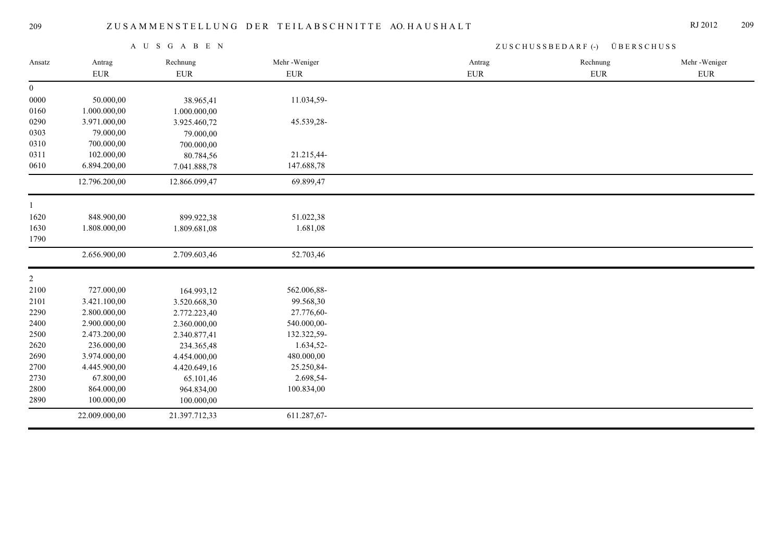| A U S G A B E N |               |               | ZUSCHUSSBEDARF (-) ÜBERSCHUSS |             |            |              |
|-----------------|---------------|---------------|-------------------------------|-------------|------------|--------------|
| Ansatz          | Antrag        | Rechnung      | Mehr-Weniger                  | Antrag      | Rechnung   | Mehr-Weniger |
|                 | ${\rm EUR}$   | <b>EUR</b>    | <b>EUR</b>                    | ${\rm EUR}$ | <b>EUR</b> | <b>EUR</b>   |
| $\overline{0}$  |               |               |                               |             |            |              |
| 0000            | 50.000,00     | 38.965,41     | 11.034,59-                    |             |            |              |
| 0160            | 1.000.000,00  | 1.000.000,00  |                               |             |            |              |
| 0290            | 3.971.000,00  | 3.925.460,72  | 45.539,28-                    |             |            |              |
| 0303            | 79.000,00     | 79.000,00     |                               |             |            |              |
| 0310            | 700.000,00    | 700.000,00    |                               |             |            |              |
| 0311            | 102.000,00    | 80.784,56     | 21.215,44-                    |             |            |              |
| 0610            | 6.894.200,00  | 7.041.888,78  | 147.688,78                    |             |            |              |
|                 | 12.796.200,00 | 12.866.099,47 | 69.899,47                     |             |            |              |
| $\mathbf{1}$    |               |               |                               |             |            |              |
| 1620            | 848.900,00    | 899.922,38    | 51.022,38                     |             |            |              |
| 1630            | 1.808.000,00  | 1.809.681,08  | 1.681,08                      |             |            |              |
| 1790            |               |               |                               |             |            |              |
|                 | 2.656.900,00  | 2.709.603,46  | 52.703,46                     |             |            |              |
| $\overline{2}$  |               |               |                               |             |            |              |
| 2100            | 727.000,00    | 164.993,12    | 562.006,88-                   |             |            |              |
| 2101            | 3.421.100,00  | 3.520.668,30  | 99.568,30                     |             |            |              |
| 2290            | 2.800.000,00  | 2.772.223,40  | 27.776,60-                    |             |            |              |
| 2400            | 2.900.000,00  | 2.360.000,00  | 540.000,00-                   |             |            |              |
| 2500            | 2.473.200,00  | 2.340.877,41  | 132.322,59-                   |             |            |              |
| 2620            | 236.000,00    | 234.365,48    | 1.634,52-                     |             |            |              |
| 2690            | 3.974.000,00  | 4.454.000,00  | 480.000,00                    |             |            |              |
| 2700            | 4.445.900,00  | 4.420.649,16  | 25.250,84-                    |             |            |              |
| 2730            | 67.800,00     | 65.101,46     | 2.698,54-                     |             |            |              |
| 2800            | 864.000,00    | 964.834,00    | 100.834,00                    |             |            |              |
| 2890            | 100.000,00    | 100.000,00    |                               |             |            |              |
|                 | 22.009.000,00 | 21.397.712,33 | 611.287,67-                   |             |            |              |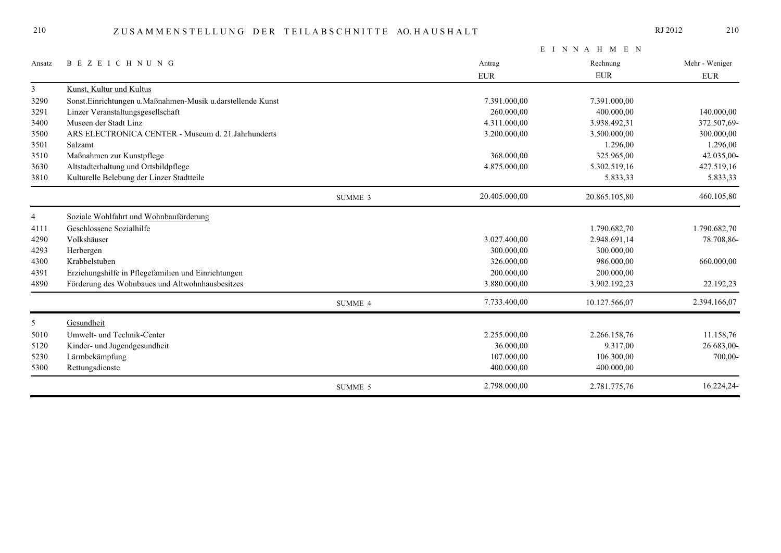|                |                                                            |         |               | EINNAHMEN     |                |
|----------------|------------------------------------------------------------|---------|---------------|---------------|----------------|
| Ansatz         | <b>BEZEICHNUNG</b>                                         |         | Antrag        | Rechnung      | Mehr - Weniger |
|                |                                                            |         | <b>EUR</b>    | <b>EUR</b>    | ${\rm EUR}$    |
| $\mathfrak{Z}$ | Kunst, Kultur und Kultus                                   |         |               |               |                |
| 3290           | Sonst.Einrichtungen u.Maßnahmen-Musik u.darstellende Kunst |         | 7.391.000,00  | 7.391.000,00  |                |
| 3291           | Linzer Veranstaltungsgesellschaft                          |         | 260.000,00    | 400.000,00    | 140.000,00     |
| 3400           | Museen der Stadt Linz                                      |         | 4.311.000,00  | 3.938.492,31  | 372.507,69-    |
| 3500           | ARS ELECTRONICA CENTER - Museum d. 21. Jahrhunderts        |         | 3.200.000,00  | 3.500.000,00  | 300.000,00     |
| 3501           | Salzamt                                                    |         |               | 1.296,00      | 1.296,00       |
| 3510           | Maßnahmen zur Kunstpflege                                  |         | 368.000,00    | 325.965,00    | 42.035,00-     |
| 3630           | Altstadterhaltung und Ortsbildpflege                       |         | 4.875.000,00  | 5.302.519,16  | 427.519,16     |
| 3810           | Kulturelle Belebung der Linzer Stadtteile                  |         |               | 5.833,33      | 5.833,33       |
|                |                                                            | SUMME 3 | 20.405.000,00 | 20.865.105,80 | 460.105,80     |
| $\overline{4}$ | Soziale Wohlfahrt und Wohnbauförderung                     |         |               |               |                |
| 4111           | Geschlossene Sozialhilfe                                   |         |               | 1.790.682,70  | 1.790.682,70   |
| 4290           | Volkshäuser                                                |         | 3.027.400,00  | 2.948.691,14  | 78.708,86-     |
| 4293           | Herbergen                                                  |         | 300.000,00    | 300.000,00    |                |
| 4300           | Krabbelstuben                                              |         | 326.000,00    | 986.000,00    | 660.000,00     |
| 4391           | Erziehungshilfe in Pflegefamilien und Einrichtungen        |         | 200.000,00    | 200.000,00    |                |
| 4890           | Förderung des Wohnbaues und Altwohnhausbesitzes            |         | 3.880.000,00  | 3.902.192,23  | 22.192,23      |
|                |                                                            | SUMME 4 | 7.733.400,00  | 10.127.566,07 | 2.394.166,07   |
| 5              | Gesundheit                                                 |         |               |               |                |
| 5010           | Umwelt- und Technik-Center                                 |         | 2.255.000,00  | 2.266.158,76  | 11.158,76      |
| 5120           | Kinder- und Jugendgesundheit                               |         | 36.000,00     | 9.317,00      | 26.683,00-     |
| 5230           | Lärmbekämpfung                                             |         | 107.000,00    | 106.300,00    | 700,00-        |
| 5300           | Rettungsdienste                                            |         | 400.000,00    | 400.000,00    |                |
|                |                                                            | SUMME 5 | 2.798.000,00  | 2.781.775,76  | 16.224,24-     |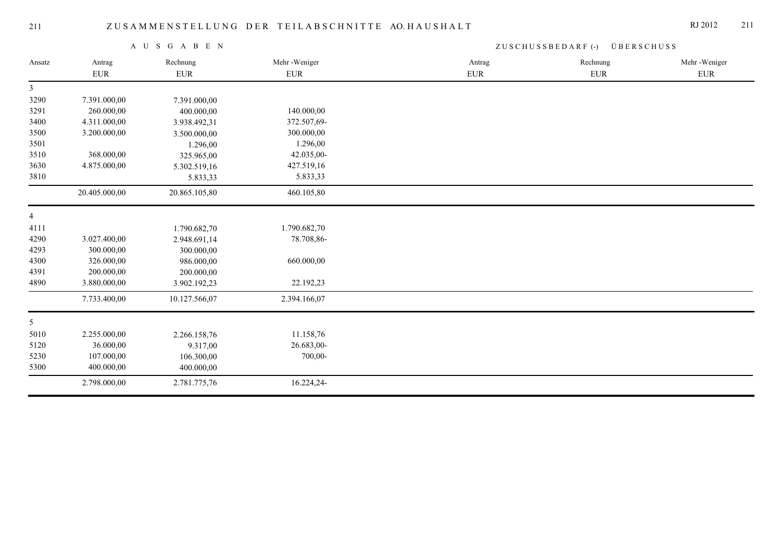|                |               | A U S G A B E N |              | $ZUSCHUSSBEDARF$ (-)<br>ÜBERSCHUSS |            |              |
|----------------|---------------|-----------------|--------------|------------------------------------|------------|--------------|
| Ansatz         | Antrag        | Rechnung        | Mehr-Weniger | Antrag                             | Rechnung   | Mehr-Weniger |
|                | <b>EUR</b>    | ${\rm EUR}$     | ${\rm EUR}$  | <b>EUR</b>                         | <b>EUR</b> | <b>EUR</b>   |
| $\mathfrak{Z}$ |               |                 |              |                                    |            |              |
| 3290           | 7.391.000,00  | 7.391.000,00    |              |                                    |            |              |
| 3291           | 260.000,00    | 400.000,00      | 140.000,00   |                                    |            |              |
| 3400           | 4.311.000,00  | 3.938.492,31    | 372.507,69-  |                                    |            |              |
| 3500           | 3.200.000,00  | 3.500.000,00    | 300.000,00   |                                    |            |              |
| 3501           |               | 1.296,00        | 1.296,00     |                                    |            |              |
| 3510           | 368.000,00    | 325.965,00      | 42.035,00-   |                                    |            |              |
| 3630           | 4.875.000,00  | 5.302.519,16    | 427.519,16   |                                    |            |              |
| 3810           |               | 5.833,33        | 5.833,33     |                                    |            |              |
|                | 20.405.000,00 | 20.865.105,80   | 460.105,80   |                                    |            |              |
| $\overline{4}$ |               |                 |              |                                    |            |              |
| 4111           |               | 1.790.682,70    | 1.790.682,70 |                                    |            |              |
| 4290           | 3.027.400,00  | 2.948.691,14    | 78.708,86-   |                                    |            |              |
| 4293           | 300.000,00    | 300.000,00      |              |                                    |            |              |
| 4300           | 326.000,00    | 986.000,00      | 660.000,00   |                                    |            |              |
| 4391           | 200.000,00    | 200.000,00      |              |                                    |            |              |
| 4890           | 3.880.000,00  | 3.902.192,23    | 22.192,23    |                                    |            |              |
|                | 7.733.400,00  | 10.127.566,07   | 2.394.166,07 |                                    |            |              |
| 5 <sup>5</sup> |               |                 |              |                                    |            |              |
| 5010           | 2.255.000,00  | 2.266.158,76    | 11.158,76    |                                    |            |              |
| 5120           | 36.000,00     | 9.317,00        | 26.683,00-   |                                    |            |              |
| 5230           | 107.000,00    | 106.300,00      | 700,00-      |                                    |            |              |
| 5300           | 400.000,00    | 400.000,00      |              |                                    |            |              |
|                | 2.798.000,00  | 2.781.775,76    | 16.224,24-   |                                    |            |              |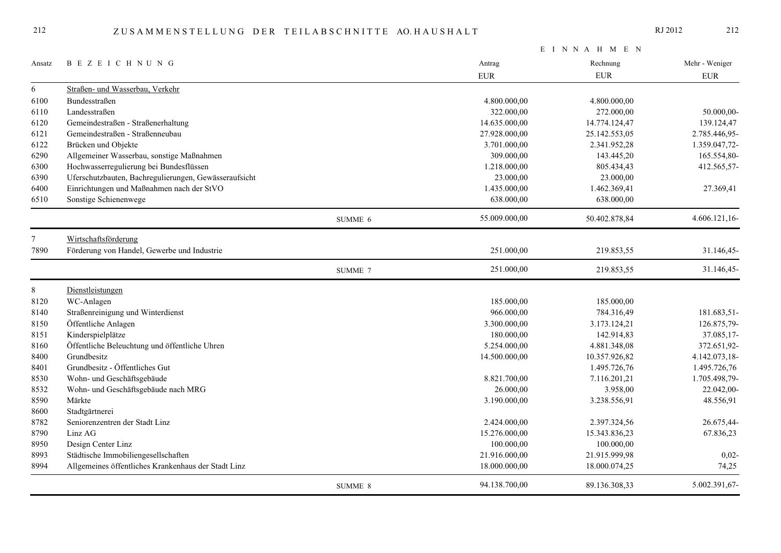|        |                                                       |         |               | EINNAHMEN     |                |
|--------|-------------------------------------------------------|---------|---------------|---------------|----------------|
| Ansatz | <b>BEZEICHNUNG</b>                                    |         | Antrag        | Rechnung      | Mehr - Weniger |
|        |                                                       |         | <b>EUR</b>    | <b>EUR</b>    | <b>EUR</b>     |
| 6      | Straßen- und Wasserbau, Verkehr                       |         |               |               |                |
| 6100   | <b>Bundesstraßen</b>                                  |         | 4.800.000,00  | 4.800.000,00  |                |
| 6110   | Landesstraßen                                         |         | 322.000,00    | 272.000,00    | 50.000,00-     |
| 6120   | Gemeindestraßen - Straßenerhaltung                    |         | 14.635.000,00 | 14.774.124,47 | 139.124,47     |
| 6121   | Gemeindestraßen - Straßenneubau                       |         | 27.928.000,00 | 25.142.553,05 | 2.785.446,95-  |
| 6122   | Brücken und Objekte                                   |         | 3.701.000,00  | 2.341.952,28  | 1.359.047,72-  |
| 6290   | Allgemeiner Wasserbau, sonstige Maßnahmen             |         | 309.000,00    | 143.445,20    | 165.554,80-    |
| 6300   | Hochwasserregulierung bei Bundesflüssen               |         | 1.218.000,00  | 805.434,43    | 412.565,57-    |
| 6390   | Uferschutzbauten, Bachregulierungen, Gewässeraufsicht |         | 23.000,00     | 23.000,00     |                |
| 6400   | Einrichtungen und Maßnahmen nach der StVO             |         | 1.435.000,00  | 1.462.369,41  | 27.369,41      |
| 6510   | Sonstige Schienenwege                                 |         | 638.000,00    | 638.000,00    |                |
|        |                                                       | SUMME 6 | 55.009.000,00 | 50.402.878,84 | 4.606.121,16-  |
| 7      | Wirtschaftsförderung                                  |         |               |               |                |
| 7890   | Förderung von Handel, Gewerbe und Industrie           |         | 251.000,00    | 219.853,55    | 31.146,45-     |
|        |                                                       | SUMME 7 | 251.000,00    | 219.853,55    | 31.146,45-     |
| $8\,$  | Dienstleistungen                                      |         |               |               |                |
| 8120   | WC-Anlagen                                            |         | 185.000,00    | 185.000,00    |                |
| 8140   | Straßenreinigung und Winterdienst                     |         | 966.000,00    | 784.316,49    | 181.683,51-    |
| 8150   | Öffentliche Anlagen                                   |         | 3.300.000,00  | 3.173.124,21  | 126.875,79-    |
| 8151   | Kinderspielplätze                                     |         | 180.000,00    | 142.914,83    | 37.085,17-     |
| 8160   | Öffentliche Beleuchtung und öffentliche Uhren         |         | 5.254.000,00  | 4.881.348,08  | 372.651,92-    |
| 8400   | Grundbesitz                                           |         | 14.500.000,00 | 10.357.926,82 | 4.142.073,18-  |
| 8401   | Grundbesitz - Öffentliches Gut                        |         |               | 1.495.726,76  | 1.495.726,76   |
| 8530   | Wohn- und Geschäftsgebäude                            |         | 8.821.700,00  | 7.116.201,21  | 1.705.498,79-  |
| 8532   | Wohn- und Geschäftsgebäude nach MRG                   |         | 26.000,00     | 3.958,00      | 22.042,00-     |
| 8590   | Märkte                                                |         | 3.190.000,00  | 3.238.556,91  | 48.556,91      |
| 8600   | Stadtgärtnerei                                        |         |               |               |                |
| 8782   | Seniorenzentren der Stadt Linz                        |         | 2.424.000,00  | 2.397.324,56  | 26.675,44-     |
| 8790   | Linz AG                                               |         | 15.276.000,00 | 15.343.836,23 | 67.836,23      |
| 8950   | Design Center Linz                                    |         | 100.000,00    | 100.000,00    |                |
| 8993   | Städtische Immobiliengesellschaften                   |         | 21.916.000,00 | 21.915.999,98 | $0,02-$        |
| 8994   | Allgemeines öffentliches Krankenhaus der Stadt Linz   |         | 18.000.000,00 | 18.000.074,25 | 74,25          |
|        |                                                       | SUMME 8 | 94.138.700,00 | 89.136.308,33 | 5.002.391,67-  |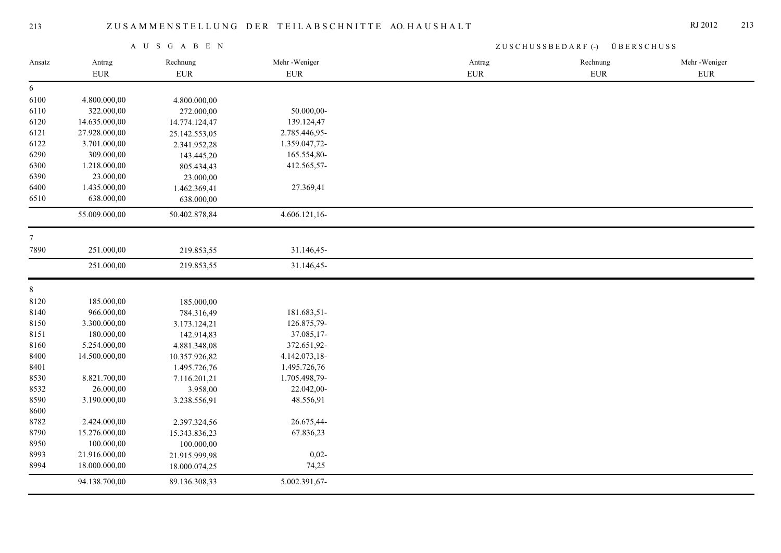|                |               | A U S G A B E N |               | ZUSCHUSSBEDARF (-) ÜBERSCHUSS |             |              |  |
|----------------|---------------|-----------------|---------------|-------------------------------|-------------|--------------|--|
| Ansatz         | Antrag        | Rechnung        | Mehr-Weniger  | Antrag                        | Rechnung    | Mehr-Weniger |  |
|                | ${\rm EUR}$   | <b>EUR</b>      | ${\rm EUR}$   | ${\rm EUR}$                   | ${\rm EUR}$ | ${\rm EUR}$  |  |
| 6              |               |                 |               |                               |             |              |  |
| 6100           | 4.800.000,00  | 4.800.000,00    |               |                               |             |              |  |
| 6110           | 322.000,00    | 272.000,00      | 50.000,00-    |                               |             |              |  |
| 6120           | 14.635.000,00 | 14.774.124,47   | 139.124,47    |                               |             |              |  |
| 6121           | 27.928.000,00 | 25.142.553,05   | 2.785.446,95- |                               |             |              |  |
| 6122           | 3.701.000,00  | 2.341.952,28    | 1.359.047,72- |                               |             |              |  |
| 6290           | 309.000,00    | 143.445,20      | 165.554,80-   |                               |             |              |  |
| 6300           | 1.218.000,00  | 805.434,43      | 412.565,57-   |                               |             |              |  |
| 6390           | 23.000,00     | 23.000,00       |               |                               |             |              |  |
| 6400           | 1.435.000,00  | 1.462.369,41    | 27.369,41     |                               |             |              |  |
| 6510           | 638.000,00    | 638.000,00      |               |                               |             |              |  |
|                | 55.009.000,00 | 50.402.878,84   | 4.606.121,16- |                               |             |              |  |
| $7\phantom{.}$ |               |                 |               |                               |             |              |  |
| 7890           | 251.000,00    | 219.853,55      | 31.146,45-    |                               |             |              |  |
|                | 251.000,00    | 219.853,55      | 31.146,45-    |                               |             |              |  |
| $8\,$          |               |                 |               |                               |             |              |  |
| 8120           | 185.000,00    | 185.000,00      |               |                               |             |              |  |
| 8140           | 966.000,00    | 784.316,49      | 181.683,51-   |                               |             |              |  |
| 8150           | 3.300.000,00  | 3.173.124,21    | 126.875,79-   |                               |             |              |  |
| 8151           | 180.000,00    | 142.914,83      | 37.085,17-    |                               |             |              |  |
| 8160           | 5.254.000,00  | 4.881.348,08    | 372.651,92-   |                               |             |              |  |
| 8400           | 14.500.000,00 | 10.357.926,82   | 4.142.073,18- |                               |             |              |  |
| 8401           |               | 1.495.726,76    | 1.495.726,76  |                               |             |              |  |
| 8530           | 8.821.700,00  | 7.116.201,21    | 1.705.498,79- |                               |             |              |  |
| 8532           | 26.000,00     | 3.958,00        | 22.042,00-    |                               |             |              |  |
| 8590           | 3.190.000,00  | 3.238.556,91    | 48.556,91     |                               |             |              |  |
| 8600           |               |                 |               |                               |             |              |  |
| 8782           | 2.424.000,00  | 2.397.324,56    | 26.675,44-    |                               |             |              |  |
| 8790           | 15.276.000,00 | 15.343.836,23   | 67.836,23     |                               |             |              |  |
| 8950           | 100.000,00    | 100.000,00      |               |                               |             |              |  |
| 8993           | 21.916.000,00 | 21.915.999,98   | $0,02-$       |                               |             |              |  |
| 8994           | 18.000.000,00 | 18.000.074,25   | 74,25         |                               |             |              |  |
|                | 94.138.700,00 | 89.136.308,33   | 5.002.391,67- |                               |             |              |  |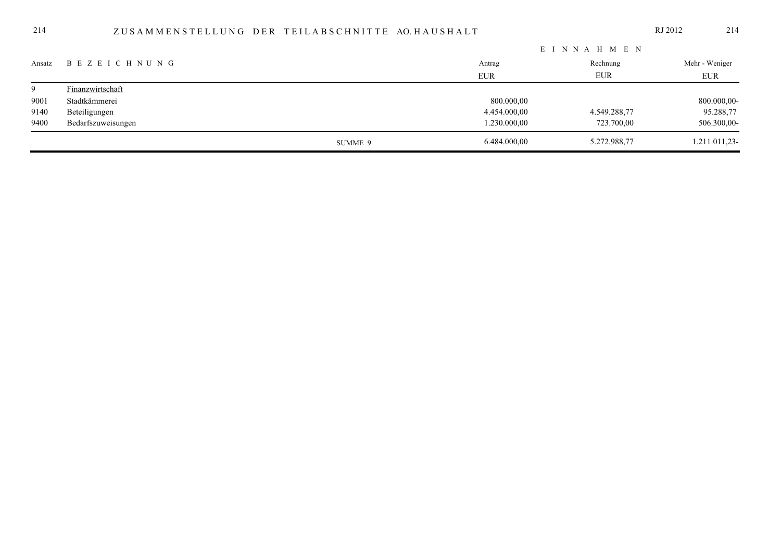## ZUSAMMENSTELLUNG DER TEILABSCHNITTE AO.HAUSHALT

|        |                       | EINNAH MEN |              |              |                |  |
|--------|-----------------------|------------|--------------|--------------|----------------|--|
| Ansatz | B E Z E I C H N U N G |            | Antrag       | Rechnung     | Mehr - Weniger |  |
|        |                       |            | <b>EUR</b>   | EUR          | <b>EUR</b>     |  |
| 9      | Finanzwirtschaft      |            |              |              |                |  |
| 9001   | Stadtkämmerei         |            | 800.000,00   |              | 800.000,00-    |  |
| 9140   | Beteiligungen         |            | 4.454.000,00 | 4.549.288,77 | 95.288,77      |  |
| 9400   | Bedarfszuweisungen    |            | 1.230.000,00 | 723.700,00   | 506.300,00-    |  |
|        |                       | SUMME 9    | 6.484.000,00 | 5.272.988,77 | 1.211.011,23-  |  |